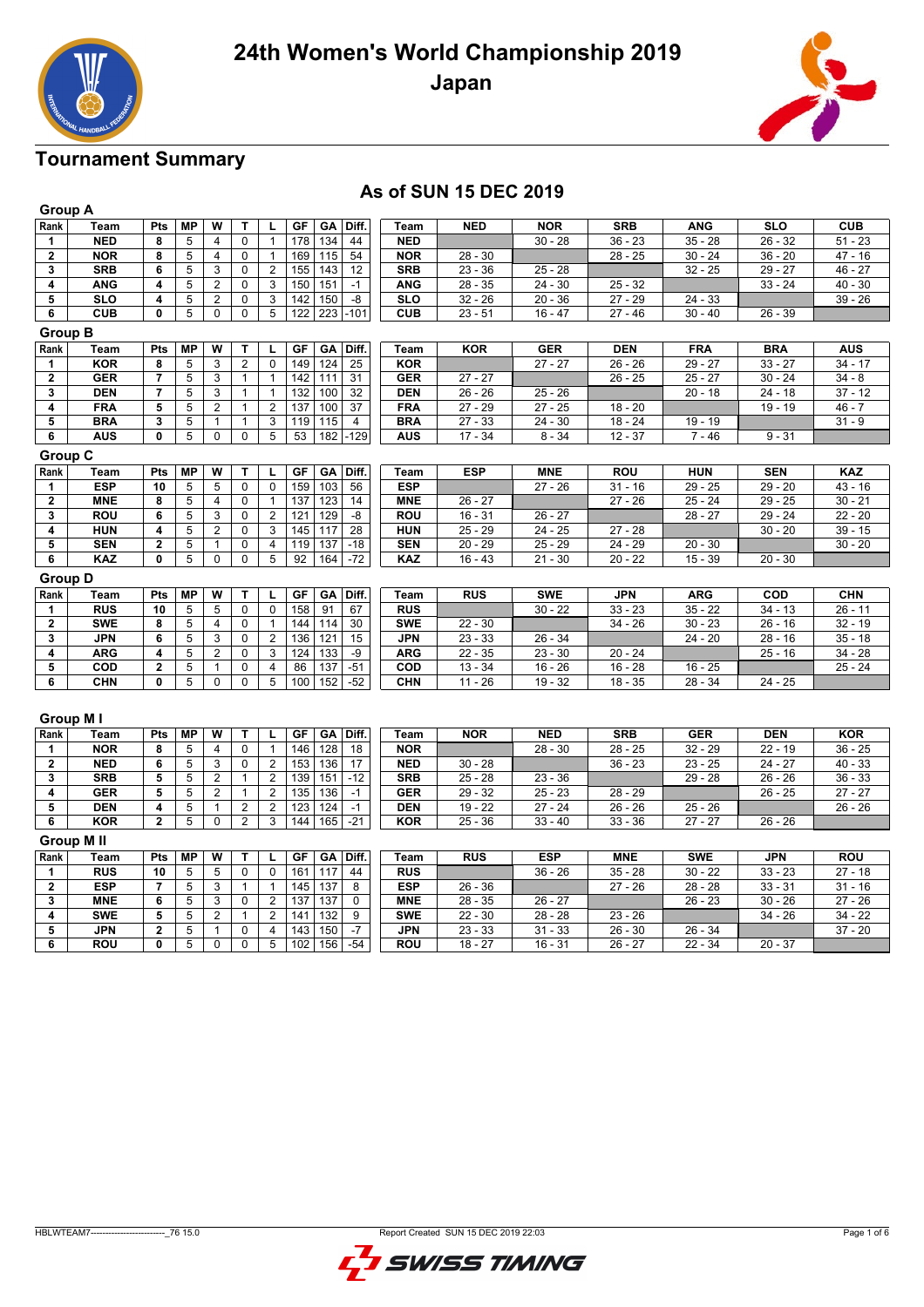



## **As of SUN 15 DEC 2019**

|                         | <b>Group A</b> |                         |                         |                         |                |                |                                  |                  |            |            |            |            |                  |            |
|-------------------------|----------------|-------------------------|-------------------------|-------------------------|----------------|----------------|----------------------------------|------------------|------------|------------|------------|------------|------------------|------------|
| Rank                    | Team           | Pts                     | <b>MP</b>               | W                       | т              | г              | GA<br>Diff.<br>GF                | Team             | <b>NED</b> | <b>NOR</b> | <b>SRB</b> | <b>ANG</b> | <b>SLO</b>       | <b>CUB</b> |
| 1                       | <b>NED</b>     | 8                       | $\,$ 5 $\,$             | 4                       | 0              | $\mathbf{1}$   | 134<br>178<br>44                 | <b>NED</b>       |            | $30 - 28$  | $36 - 23$  | $35 - 28$  | $26 - 32$        | $51 - 23$  |
| $\overline{\mathbf{2}}$ | <b>NOR</b>     | 8                       | 5                       | $\overline{4}$          | 0              | $\mathbf{1}$   | 169<br>115<br>54                 | <b>NOR</b>       | $28 - 30$  |            | $28 - 25$  | $30 - 24$  | $36 - 20$        | $47 - 16$  |
| 3                       | <b>SRB</b>     | 6                       | 5                       | 3                       | $\mathbf 0$    | $\overline{2}$ | 155<br>143<br>12                 | <b>SRB</b>       | $23 - 36$  | $25 - 28$  |            | $32 - 25$  | $29 - 27$        | 46 - 27    |
| 4                       | <b>ANG</b>     | 4                       | 5                       | $\overline{c}$          | 0              | 3              | 151<br>150<br>$-1$               | <b>ANG</b>       | $28 - 35$  | $24 - 30$  | $25 - 32$  |            | $33 - 24$        | $40 - 30$  |
| 5                       | <b>SLO</b>     | 4                       | $\overline{5}$          | 2                       | 0              | 3              | 142<br>150<br>-8                 | <b>SLO</b>       | $32 - 26$  | $20 - 36$  | $27 - 29$  | $24 - 33$  |                  | $39 - 26$  |
| 6                       | <b>CUB</b>     | $\mathbf{0}$            | 5                       | $\mathbf 0$             | 0              | 5              | 122<br>223<br>$-101$             | <b>CUB</b>       | $23 - 51$  | $16 - 47$  | $27 - 46$  | $30 - 40$  | $26 - 39$        |            |
|                         | <b>Group B</b> |                         |                         |                         |                |                |                                  |                  |            |            |            |            |                  |            |
| Rank                    | Team           | Pts                     | <b>MP</b>               | W                       | т              | Г              | GF<br>GA<br>Diff.                | Team             | <b>KOR</b> | <b>GER</b> | <b>DEN</b> | <b>FRA</b> | <b>BRA</b>       | <b>AUS</b> |
| 1                       | <b>KOR</b>     | 8                       | 5                       | 3                       | $\overline{c}$ | 0              | 149<br>124<br>25                 | <b>KOR</b>       |            | $27 - 27$  | $26 - 26$  | $29 - 27$  | $33 - 27$        | $34 - 17$  |
| $\mathbf 2$             | <b>GER</b>     | $\overline{7}$          | 5                       | 3                       | $\mathbf{1}$   | $\mathbf{1}$   | 142<br>$\overline{31}$<br>111    | <b>GER</b>       | $27 - 27$  |            | $26 - 25$  | $25 - 27$  | $30 - 24$        | $34 - 8$   |
| 3                       | <b>DEN</b>     | 7                       | 5                       | 3                       | $\mathbf{1}$   | $\mathbf{1}$   | 132<br>100<br>32                 | <b>DEN</b>       | $26 - 26$  | $25 - 26$  |            | $20 - 18$  | $24 - 18$        | $37 - 12$  |
| 4                       | <b>FRA</b>     | 5                       | 5                       | $\overline{2}$          | $\mathbf{1}$   | $\overline{2}$ | 137<br>100<br>37                 | <b>FRA</b>       | $27 - 29$  | $27 - 25$  | $18 - 20$  |            | $19 - 19$        | $46 - 7$   |
| 5                       | <b>BRA</b>     | 3                       | 5                       | $\mathbf{1}$            | $\mathbf{1}$   | 3              | 119<br>115<br>$\overline{4}$     | <b>BRA</b>       | $27 - 33$  | $24 - 30$  | $18 - 24$  | $19 - 19$  |                  | $31 - 9$   |
| 6                       | <b>AUS</b>     | 0                       | 5                       | 0                       | 0              | 5              | $\overline{53}$<br>$-129$<br>182 | <b>AUS</b>       | $17 - 34$  | $8 - 34$   | $12 - 37$  | $7 - 46$   | $9 - 31$         |            |
| <b>Group C</b>          |                |                         |                         |                         |                |                |                                  |                  |            |            |            |            |                  |            |
| Rank                    | Team           | Pts                     | <b>MP</b>               | W                       | T              | L              | GF<br>GA<br>Diff.                | Team             | <b>ESP</b> | <b>MNE</b> | <b>ROU</b> | <b>HUN</b> | <b>SEN</b>       | KAZ        |
| 1                       | <b>ESP</b>     | 10                      | 5                       | 5                       | 0              | 0              | 159<br>103<br>56                 | <b>ESP</b>       |            | $27 - 26$  | $31 - 16$  | $29 - 25$  | $29 - 20$        | $43 - 16$  |
| $\overline{\mathbf{2}}$ | <b>MNE</b>     | 8                       | $\overline{5}$          | $\overline{4}$          | $\pmb{0}$      | $\mathbf{1}$   | 137<br>123<br>14                 | <b>MNE</b>       | $26 - 27$  |            | $27 - 26$  | $25 - 24$  | $29 - 25$        | $30 - 21$  |
| 3                       | <b>ROU</b>     | 6                       | $\overline{5}$          | 3                       | $\mathbf 0$    | $\overline{2}$ | 121<br>129<br>$-8$               | <b>ROU</b>       | $16 - 31$  | $26 - 27$  |            | $28 - 27$  | $29 - 24$        | $22 - 20$  |
| 4                       | <b>HUN</b>     | 4                       | 5                       | $\overline{2}$          | 0              | 3              | 117<br>145<br>28                 | <b>HUN</b>       | $25 - 29$  | $24 - 25$  | $27 - 28$  |            | $30 - 20$        | $39 - 15$  |
| 5                       | <b>SEN</b>     | $\mathbf 2$             | 5                       | $\mathbf{1}$            | 0              | 4              | 119<br>137<br>$-18$              | <b>SEN</b>       | $20 - 29$  | $25 - 29$  | $24 - 29$  | $20 - 30$  |                  | $30 - 20$  |
| 6                       | <b>KAZ</b>     | 0                       | 5                       | $\mathbf 0$             | 0              | $\overline{5}$ | 164<br>92<br>$-72$               | <b>KAZ</b>       | $16 - 43$  | $21 - 30$  | $20 - 22$  | $15 - 39$  | $20 - 30$        |            |
| <b>Group D</b>          |                |                         |                         |                         |                |                |                                  |                  |            |            |            |            |                  |            |
| Rank                    | Team           | Pts                     | <b>MP</b>               | W                       | T              | L              | GF<br>GA<br>Diff.                | Team             | RUS        | <b>SWE</b> | <b>JPN</b> | <b>ARG</b> | $\overline{cop}$ | <b>CHN</b> |
| 1                       | <b>RUS</b>     | 10                      | 5                       | 5                       | 0              | 0              | 158<br>91<br>67                  | <b>RUS</b>       |            | $30 - 22$  | $33 - 23$  | $35 - 22$  | $34 - 13$        | $26 - 11$  |
| $\overline{\mathbf{2}}$ | <b>SWE</b>     | 8                       | 5                       | $\overline{4}$          | $\pmb{0}$      | $\mathbf{1}$   | 144<br>114<br>30                 | <b>SWE</b>       | $22 - 30$  |            | $34 - 26$  | $30 - 23$  | $26 - 16$        | $32 - 19$  |
| 3                       | <b>JPN</b>     | 6                       | 5                       | 3                       | 0              | $\overline{2}$ | 136<br>121<br>15                 | <b>JPN</b>       | $23 - 33$  | $26 - 34$  |            | $24 - 20$  | $28 - 16$        | $35 - 18$  |
| 4                       | <b>ARG</b>     | 4                       | 5                       | $\overline{2}$          | $\mathbf 0$    | 3              | 124<br>133<br>$-9$               | <b>ARG</b>       | $22 - 35$  | $23 - 30$  | $20 - 24$  |            | $25 - 16$        | $34 - 28$  |
| $\overline{5}$          | COD            | $\mathbf{2}$            | 5                       | $\mathbf{1}$            | 0              | 4              | $-51$<br>86<br>137               | $\overline{con}$ | $13 - 34$  | $16 - 26$  | $16 - 28$  | $16 - 25$  |                  | $25 - 24$  |
| $\overline{\mathbf{6}}$ | <b>CHN</b>     | 0                       | $\overline{5}$          | $\mathbf 0$             | 0              | $\overline{5}$ | 100<br>152<br>$-52$              | CHN              | $11 - 26$  | $19 - 32$  | $18 - 35$  | $28 - 34$  | $24 - 25$        |            |
|                         | Group M I      |                         |                         |                         |                |                |                                  |                  |            |            |            |            |                  |            |
| Rank                    | Team           | Pts                     | <b>MP</b>               | $\overline{\mathsf{w}}$ | T              | г              | GF<br>GA<br>Diff.                | Team             | <b>NOR</b> | <b>NED</b> | <b>SRB</b> | <b>GER</b> | <b>DEN</b>       | <b>KOR</b> |
| 1                       | <b>NOR</b>     | 8                       | 5                       | $\overline{4}$          | 0              | $\mathbf{1}$   | 128<br>146<br>18                 | <b>NOR</b>       |            | $28 - 30$  | $28 - 25$  | $32 - 29$  | $22 - 19$        | $36 - 25$  |
| 2                       | <b>NED</b>     | 6                       | 5                       | 3                       | 0              | $\overline{2}$ | 153<br>136<br>17                 | <b>NED</b>       | $30 - 28$  |            | $36 - 23$  | $23 - 25$  | $24 - 27$        | $40 - 33$  |
| 3                       | <b>SRB</b>     | 5                       | $\overline{\mathbf{5}}$ | $\overline{2}$          | $\mathbf{1}$   | $\overline{2}$ | 139<br>151<br>$-12$              | <b>SRB</b>       | $25 - 28$  | $23 - 36$  |            | $29 - 28$  | $26 - 26$        | $36 - 33$  |
| 4                       | <b>GER</b>     | 5                       | $\overline{5}$          | $\overline{2}$          | $\mathbf{1}$   | $\overline{2}$ | 135<br>136<br>$-1$               | <b>GER</b>       | $29 - 32$  | $25 - 23$  | $28 - 29$  |            | $26 - 25$        | $27 - 27$  |
| 5                       | <b>DEN</b>     | 4                       | 5                       | $\mathbf{1}$            | $\overline{2}$ | $\overline{2}$ | 123<br>124<br>$-1$               | <b>DEN</b>       | $19 - 22$  | $27 - 24$  | $26 - 26$  | $25 - 26$  |                  | $26 - 26$  |
| 6                       | <b>KOR</b>     | $\overline{2}$          | 5                       | $\overline{0}$          | $\overline{2}$ | 3              | 144<br>165<br>$-21$              | <b>KOR</b>       | $25 - 36$  | $33 - 40$  | $33 - 36$  | $27 - 27$  | $26 - 26$        |            |
|                         | Group M II     |                         |                         |                         |                |                |                                  |                  |            |            |            |            |                  |            |
| Rank                    | Team           | Pts                     | <b>MP</b>               | W                       | T              | г              | Diff.<br>GF<br>GA                | Team             | <b>RUS</b> | <b>ESP</b> | <b>MNE</b> | <b>SWE</b> | <b>JPN</b>       | <b>ROU</b> |
| 1                       | <b>RUS</b>     | 10                      | 5                       | 5                       | 0              | 0              | 117<br>161<br>44                 | <b>RUS</b>       |            | $36 - 26$  | $35 - 28$  | $30 - 22$  | $33 - 23$        | $27 - 18$  |
| $\overline{\mathbf{2}}$ | <b>ESP</b>     | 7                       | 5                       | 3                       | $\mathbf{1}$   | $\mathbf{1}$   | 145<br>137<br>8                  | <b>ESP</b>       | $26 - 36$  |            | $27 - 26$  | $28 - 28$  | $33 - 31$        | $31 - 16$  |
| 3                       | <b>MNE</b>     | 6                       | $\overline{5}$          | 3                       | 0              | $\overline{2}$ | $\overline{137}$<br>137<br>0     | <b>MNE</b>       | 28 - 35    | $26 - 27$  |            | $26 - 23$  | $30 - 26$        | $27 - 26$  |
| 4                       | <b>SWE</b>     | 5                       | 5                       | $\overline{2}$          | 1              | $\overline{2}$ | 141<br>132<br>$\overline{9}$     | <b>SWE</b>       | $22 - 30$  | $28 - 28$  | $23 - 26$  |            | $34 - 26$        | $34 - 22$  |
| 5                       | <b>JPN</b>     | $\overline{\mathbf{2}}$ | 5                       | $\mathbf{1}$            | 0              | 4              | 143<br>150<br>$-7$               | <b>JPN</b>       | $23 - 33$  | $31 - 33$  | $26 - 30$  | $26 - 34$  |                  | $37 - 20$  |
| $\overline{\mathbf{6}}$ | <b>ROU</b>     | $\mathbf 0$             | $\overline{5}$          | $\overline{0}$          | 0              | $\overline{5}$ | 156<br>$-54$<br>102              | ROU              | $18 - 27$  | $16 - 31$  | $26 - 27$  | $22 - 34$  | $20 - 37$        |            |

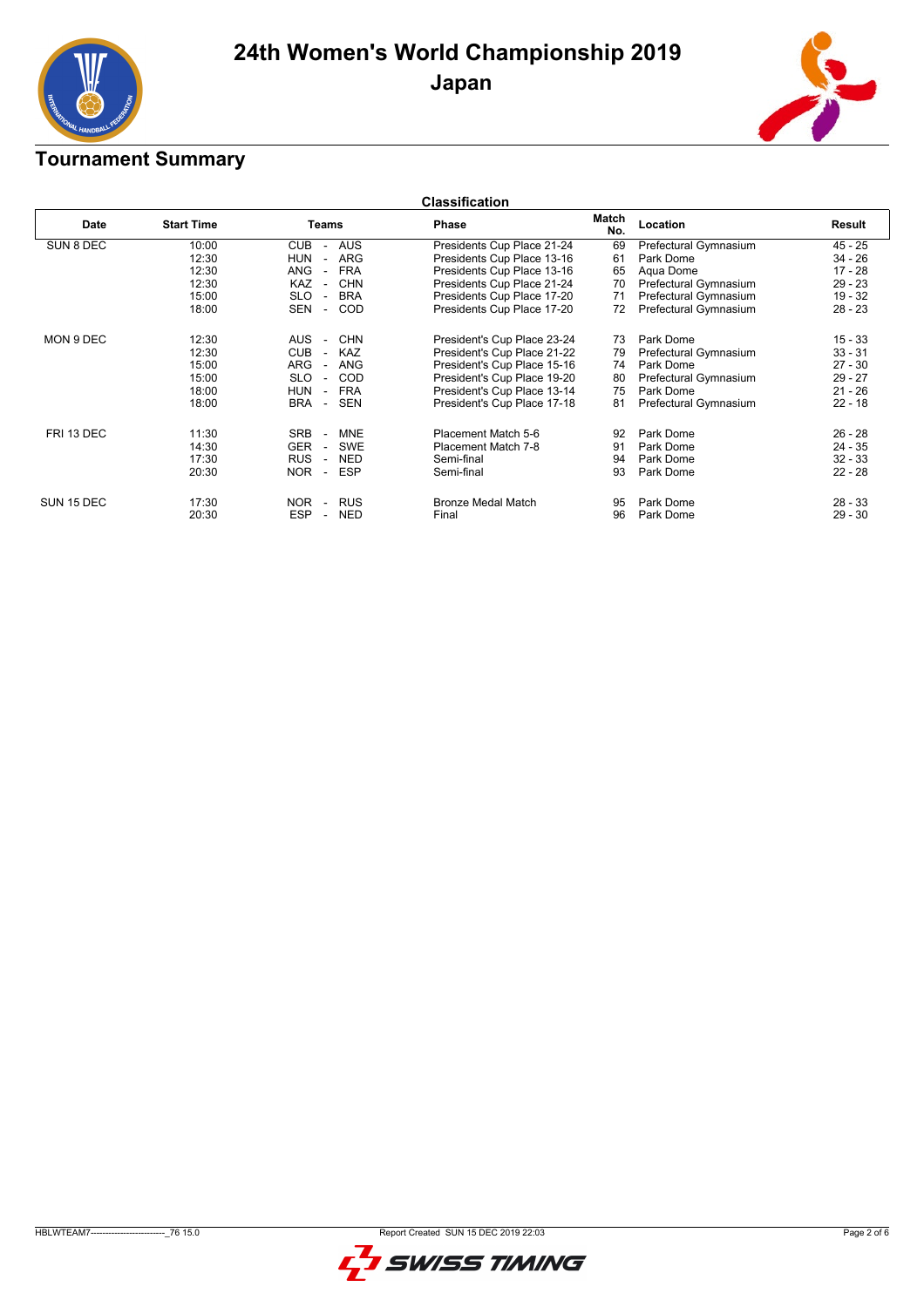



|            | <b>Classification</b> |                                                      |                             |              |                       |           |  |  |  |  |  |
|------------|-----------------------|------------------------------------------------------|-----------------------------|--------------|-----------------------|-----------|--|--|--|--|--|
| Date       | <b>Start Time</b>     | Teams                                                | <b>Phase</b>                | Match<br>No. | Location              | Result    |  |  |  |  |  |
| SUN 8 DEC  | 10:00                 | <b>CUB</b><br><b>AUS</b><br>$\overline{\phantom{a}}$ | Presidents Cup Place 21-24  | 69           | Prefectural Gymnasium | $45 - 25$ |  |  |  |  |  |
|            | 12:30                 | <b>HUN</b><br>ARG<br>$\sim$                          | Presidents Cup Place 13-16  | 61           | Park Dome             | $34 - 26$ |  |  |  |  |  |
|            | 12:30                 | <b>FRA</b><br>ANG<br>$\overline{\phantom{a}}$        | Presidents Cup Place 13-16  | 65           | Aqua Dome             | $17 - 28$ |  |  |  |  |  |
|            | 12:30                 | <b>CHN</b><br>KAZ<br>$\overline{a}$                  | Presidents Cup Place 21-24  | 70           | Prefectural Gymnasium | $29 - 23$ |  |  |  |  |  |
|            | 15:00                 | <b>SLO</b><br><b>BRA</b><br>$\overline{\phantom{a}}$ | Presidents Cup Place 17-20  | 71           | Prefectural Gymnasium | $19 - 32$ |  |  |  |  |  |
|            | 18:00                 | SEN<br><b>COD</b><br>$\sim$                          | Presidents Cup Place 17-20  | 72           | Prefectural Gymnasium | $28 - 23$ |  |  |  |  |  |
| MON 9 DEC  | 12:30                 | <b>CHN</b><br><b>AUS</b><br>$\sim$                   | President's Cup Place 23-24 | 73           | Park Dome             | $15 - 33$ |  |  |  |  |  |
|            | 12:30                 | <b>CUB</b><br><b>KAZ</b><br>$\sim$                   | President's Cup Place 21-22 | 79           | Prefectural Gymnasium | $33 - 31$ |  |  |  |  |  |
|            | 15:00                 | ARG<br><b>ANG</b><br>$\overline{a}$                  | President's Cup Place 15-16 | 74           | Park Dome             | $27 - 30$ |  |  |  |  |  |
|            | 15:00                 | <b>SLO</b><br>COD<br>$\sim$                          | President's Cup Place 19-20 | 80           | Prefectural Gymnasium | $29 - 27$ |  |  |  |  |  |
|            | 18:00                 | <b>HUN</b><br><b>FRA</b><br>$\overline{\phantom{a}}$ | President's Cup Place 13-14 | 75           | Park Dome             | $21 - 26$ |  |  |  |  |  |
|            | 18:00                 | <b>SEN</b><br>BRA<br>$\sim$                          | President's Cup Place 17-18 | 81           | Prefectural Gymnasium | $22 - 18$ |  |  |  |  |  |
| FRI 13 DEC | 11:30                 | <b>SRB</b><br><b>MNE</b><br>$\overline{\phantom{a}}$ | Placement Match 5-6         | 92           | Park Dome             | $26 - 28$ |  |  |  |  |  |
|            | 14:30                 | <b>GER</b><br><b>SWE</b><br>$\sim$                   | Placement Match 7-8         | 91           | Park Dome             | $24 - 35$ |  |  |  |  |  |
|            | 17:30                 | <b>RUS</b><br><b>NED</b><br>$\overline{\phantom{a}}$ | Semi-final                  | 94           | Park Dome             | $32 - 33$ |  |  |  |  |  |
|            | 20:30                 | <b>ESP</b><br><b>NOR</b><br>$\sim$                   | Semi-final                  | 93           | Park Dome             | $22 - 28$ |  |  |  |  |  |
| SUN 15 DEC | 17:30                 | <b>NOR</b><br><b>RUS</b><br>$\sim$                   | <b>Bronze Medal Match</b>   | 95           | Park Dome             | $28 - 33$ |  |  |  |  |  |
|            | 20:30                 | <b>ESP</b><br><b>NED</b><br>$\sim$                   | Final                       | 96           | Park Dome             | $29 - 30$ |  |  |  |  |  |

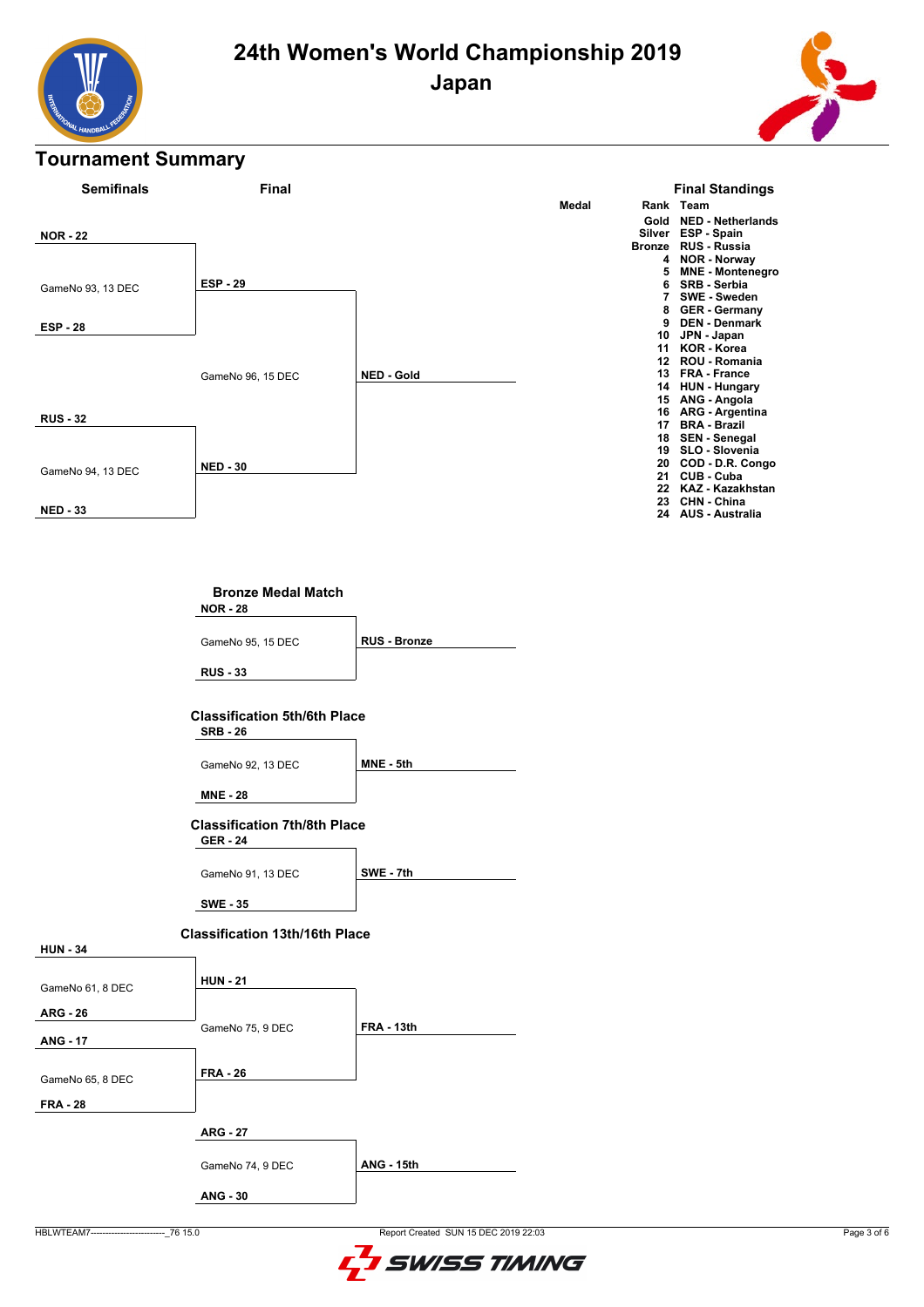





### **Bronze Medal Match**

**NOR - 28**

**RUS - 33** GameNo 95, 15 DEC **RUS - Bronze**

#### **Classification 5th/6th Place SRB - 26**

GameNo 92, 13 DEC **MNE - 5th** 

**MNE - 28**

## **Classification 7th/8th Place**

**GER - 24**

GameNo 91, 13 DEC **SWE - 7th**

**SWE - 35**

#### **Classification 13th/16th Place**

| GameNo 61, 8 DEC                    | <b>HUN - 21</b>  |                   |
|-------------------------------------|------------------|-------------------|
| <b>ARG - 26</b>                     |                  |                   |
| <b>ANG - 17</b>                     | GameNo 75, 9 DEC | <b>FRA - 13th</b> |
| GameNo 65, 8 DEC<br><b>FRA - 28</b> | <b>FRA - 26</b>  |                   |
|                                     | <b>ARG - 27</b>  |                   |
|                                     | GameNo 74, 9 DEC | <b>ANG - 15th</b> |
|                                     | <b>ANG - 30</b>  |                   |

**HUN - 34**

HBLWTEAM7-------------------------\_76 15.0 Report Created SUN 15 DEC 2019 22:03

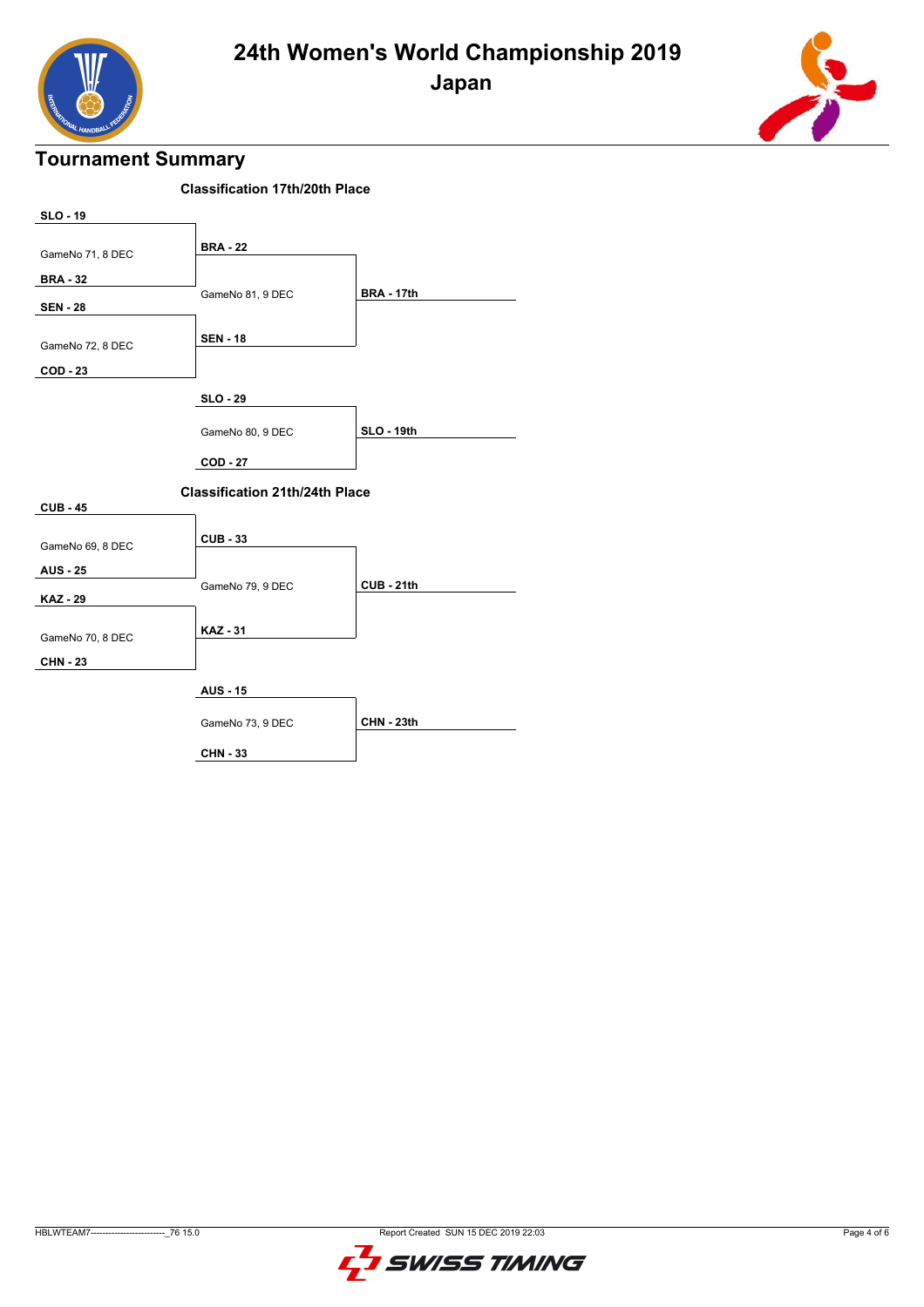



| <b>Classification 17th/20th Place</b> |                                       |                   |  |  |  |  |  |  |
|---------------------------------------|---------------------------------------|-------------------|--|--|--|--|--|--|
| <b>SLO - 19</b>                       |                                       |                   |  |  |  |  |  |  |
| GameNo 71, 8 DEC                      | <b>BRA - 22</b>                       |                   |  |  |  |  |  |  |
| <b>BRA - 32</b>                       |                                       |                   |  |  |  |  |  |  |
| <b>SEN - 28</b>                       | GameNo 81, 9 DEC                      | <b>BRA - 17th</b> |  |  |  |  |  |  |
| GameNo 72, 8 DEC                      | <b>SEN - 18</b>                       |                   |  |  |  |  |  |  |
| <b>COD - 23</b>                       |                                       |                   |  |  |  |  |  |  |
|                                       | <b>SLO - 29</b>                       |                   |  |  |  |  |  |  |
|                                       | GameNo 80, 9 DEC                      | <b>SLO - 19th</b> |  |  |  |  |  |  |
|                                       | <b>COD - 27</b>                       |                   |  |  |  |  |  |  |
|                                       | <b>Classification 21th/24th Place</b> |                   |  |  |  |  |  |  |
| <b>CUB - 45</b>                       |                                       |                   |  |  |  |  |  |  |
| GameNo 69, 8 DEC                      | <b>CUB - 33</b>                       |                   |  |  |  |  |  |  |
| <b>AUS - 25</b>                       |                                       |                   |  |  |  |  |  |  |
| <b>KAZ - 29</b>                       | GameNo 79, 9 DEC                      | <b>CUB - 21th</b> |  |  |  |  |  |  |
| GameNo 70, 8 DEC                      | <b>KAZ - 31</b>                       |                   |  |  |  |  |  |  |
| <b>CHN - 23</b>                       |                                       |                   |  |  |  |  |  |  |
|                                       |                                       |                   |  |  |  |  |  |  |
|                                       | <b>AUS - 15</b>                       |                   |  |  |  |  |  |  |
|                                       | GameNo 73, 9 DEC                      | <b>CHN - 23th</b> |  |  |  |  |  |  |
|                                       | <b>CHN - 33</b>                       |                   |  |  |  |  |  |  |

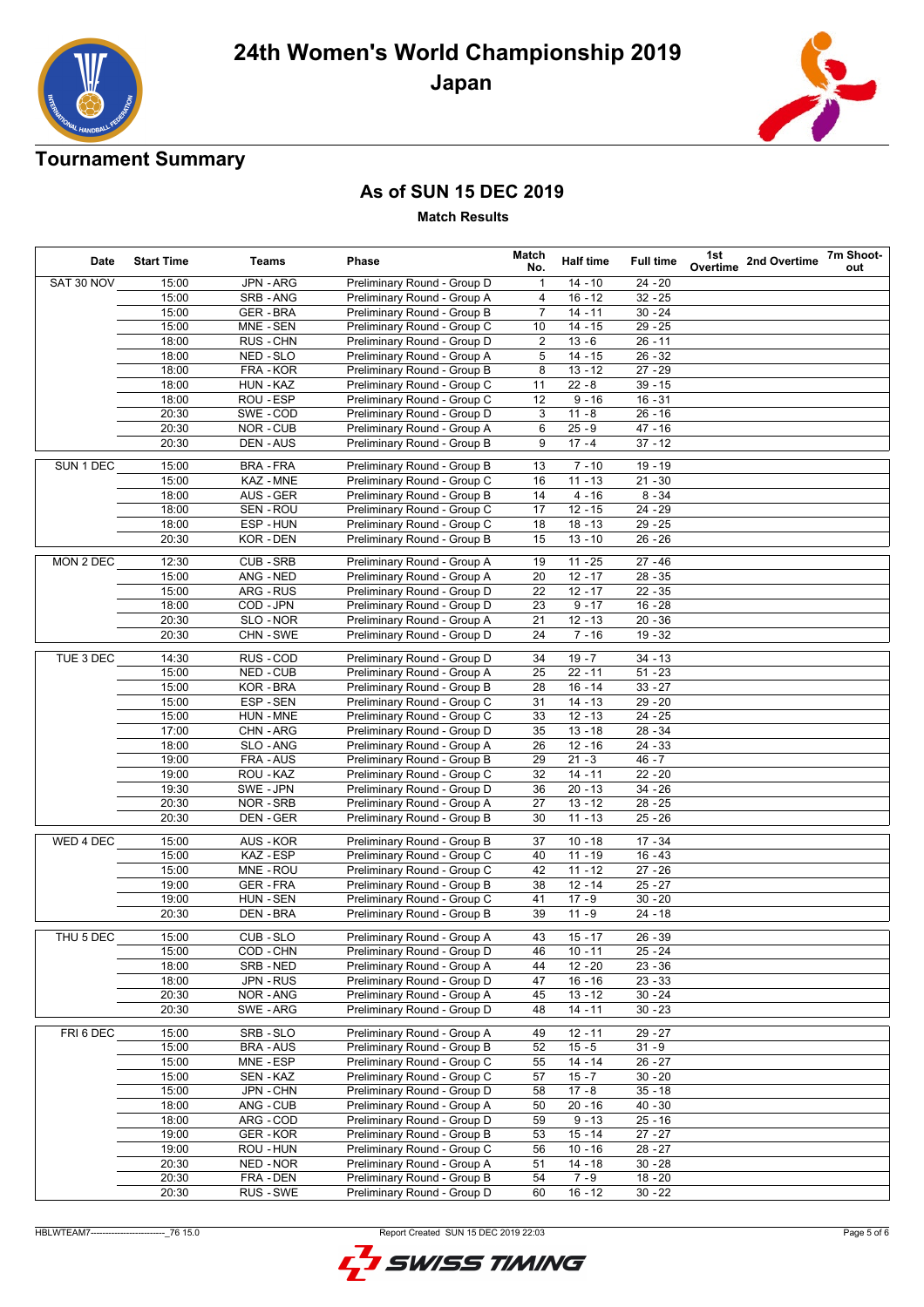

# **24th Women's World Championship 2019 Japan**

## **Tournament Summary**

## **As of SUN 15 DEC 2019**

**Match Results**

| Date       | <b>Start Time</b> | Teams            | Phase                       | Match<br>No.   | <b>Half time</b> | <b>Full time</b> | 1st<br>Overtime | 2nd Overtime | 7m Shoot-<br>out |
|------------|-------------------|------------------|-----------------------------|----------------|------------------|------------------|-----------------|--------------|------------------|
| SAT 30 NOV | 15:00             | JPN - ARG        | Preliminary Round - Group D | 1              | $14 - 10$        | $24 - 20$        |                 |              |                  |
|            | 15:00             | SRB - ANG        | Preliminary Round - Group A | 4              | $16 - 12$        | $32 - 25$        |                 |              |                  |
|            | 15:00             | <b>GER-BRA</b>   | Preliminary Round - Group B | $\overline{7}$ | $14 - 11$        | $30 - 24$        |                 |              |                  |
|            | 15:00             | MNE - SEN        | Preliminary Round - Group C | 10             | $14 - 15$        | $29 - 25$        |                 |              |                  |
|            | 18:00             | RUS - CHN        | Preliminary Round - Group D | 2              | $13 - 6$         | $26 - 11$        |                 |              |                  |
|            | 18:00             | NED - SLO        | Preliminary Round - Group A | 5              | $14 - 15$        | $26 - 32$        |                 |              |                  |
|            | 18:00             | FRA - KOR        | Preliminary Round - Group B | 8              | $13 - 12$        | $27 - 29$        |                 |              |                  |
|            | 18:00             | HUN - KAZ        | Preliminary Round - Group C | 11             | $22 - 8$         | $39 - 15$        |                 |              |                  |
|            | 18:00             | ROU - ESP        | Preliminary Round - Group C | 12             | $9 - 16$         | $16 - 31$        |                 |              |                  |
|            | 20:30             | SWE-COD          | Preliminary Round - Group D | 3              | $11 - 8$         | $26 - 16$        |                 |              |                  |
|            | 20:30             | NOR-CUB          | Preliminary Round - Group A | 6              | $25 - 9$         | $47 - 16$        |                 |              |                  |
|            | 20:30             | DEN - AUS        | Preliminary Round - Group B | 9              | $17 - 4$         | $37 - 12$        |                 |              |                  |
| SUN 1 DEC  | 15:00             | <b>BRA-FRA</b>   | Preliminary Round - Group B | 13             | $7 - 10$         | $19 - 19$        |                 |              |                  |
|            | 15:00             | KAZ - MNE        | Preliminary Round - Group C | 16             | $11 - 13$        | $21 - 30$        |                 |              |                  |
|            | 18:00             | AUS - GER        | Preliminary Round - Group B | 14             | $4 - 16$         | $8 - 34$         |                 |              |                  |
|            | 18:00             | SEN - ROU        | Preliminary Round - Group C | 17             | $12 - 15$        | $24 - 29$        |                 |              |                  |
|            | 18:00             | ESP-HUN          | Preliminary Round - Group C | 18             | $18 - 13$        | $29 - 25$        |                 |              |                  |
|            | 20:30             | KOR-DEN          | Preliminary Round - Group B | 15             | $13 - 10$        | $26 - 26$        |                 |              |                  |
| MON 2 DEC  | 12:30             | CUB-SRB          | Preliminary Round - Group A | 19             | $11 - 25$        | $27 - 46$        |                 |              |                  |
|            | 15:00             | ANG - NED        | Preliminary Round - Group A | 20             | $12 - 17$        | $28 - 35$        |                 |              |                  |
|            | 15:00             | ARG - RUS        | Preliminary Round - Group D | 22             | $12 - 17$        | $22 - 35$        |                 |              |                  |
|            | 18:00             | COD - JPN        | Preliminary Round - Group D | 23             | $9 - 17$         | $16 - 28$        |                 |              |                  |
|            | 20:30             | SLO - NOR        | Preliminary Round - Group A | 21             | $12 - 13$        | $20 - 36$        |                 |              |                  |
|            | 20:30             | CHN-SWE          | Preliminary Round - Group D | 24             | $7 - 16$         | $19 - 32$        |                 |              |                  |
|            |                   |                  |                             |                |                  |                  |                 |              |                  |
| TUE 3 DEC  | 14:30             | RUS - COD        | Preliminary Round - Group D | 34             | $19 - 7$         | $34 - 13$        |                 |              |                  |
|            | 15:00             | <b>NED - CUB</b> | Preliminary Round - Group A | 25             | $22 - 11$        | $51 - 23$        |                 |              |                  |
|            | 15:00             | KOR-BRA          | Preliminary Round - Group B | 28             | $16 - 14$        | $33 - 27$        |                 |              |                  |
|            | 15:00             | ESP-SEN          | Preliminary Round - Group C | 31             | $14 - 13$        | $29 - 20$        |                 |              |                  |
|            | 15:00             | HUN - MNE        | Preliminary Round - Group C | 33             | $12 - 13$        | $24 - 25$        |                 |              |                  |
|            | 17:00             | CHN-ARG          | Preliminary Round - Group D | 35             | $13 - 18$        | $28 - 34$        |                 |              |                  |
|            | 18:00             | SLO - ANG        | Preliminary Round - Group A | 26             | $12 - 16$        | 24 - 33          |                 |              |                  |
|            | 19:00             | FRA - AUS        | Preliminary Round - Group B | 29             | $21 - 3$         | $46 - 7$         |                 |              |                  |
|            | 19:00             | ROU - KAZ        | Preliminary Round - Group C | 32             | $14 - 11$        | $22 - 20$        |                 |              |                  |
|            | 19:30             | SWE-JPN          | Preliminary Round - Group D | 36             | $20 - 13$        | $34 - 26$        |                 |              |                  |
|            | 20:30             | NOR - SRB        | Preliminary Round - Group A | 27             | $13 - 12$        | $28 - 25$        |                 |              |                  |
|            | 20:30             | DEN - GER        | Preliminary Round - Group B | 30             | $11 - 13$        | $25 - 26$        |                 |              |                  |
| WED 4 DEC  | 15:00             | AUS - KOR        | Preliminary Round - Group B | 37             | $10 - 18$        | $17 - 34$        |                 |              |                  |
|            | 15:00             | KAZ - ESP        | Preliminary Round - Group C | 40             | $11 - 19$        | $16 - 43$        |                 |              |                  |
|            | 15:00             | MNE - ROU        | Preliminary Round - Group C | 42             | $11 - 12$        | $27 - 26$        |                 |              |                  |
|            | 19:00             | <b>GER-FRA</b>   | Preliminary Round - Group B | 38             | $12 - 14$        | $25 - 27$        |                 |              |                  |
|            | 19:00             | HUN - SEN        | Preliminary Round - Group C | 41             | $17 - 9$         | $30 - 20$        |                 |              |                  |
|            | 20:30             | DEN - BRA        | Preliminary Round - Group B | 39             | $11 - 9$         | $24 - 18$        |                 |              |                  |
| THU 5 DEC  | 15:00             | CUB-SLO          | Preliminary Round - Group A | 43             | $15 - 17$        | $26 - 39$        |                 |              |                  |
|            | 15:00             | COD - CHN        | Preliminary Round - Group D | 46             | $10 - 11$        | $25 - 24$        |                 |              |                  |
|            | 18:00             | SRB-NED          | Preliminary Round - Group A | 44             | $12 - 20$        | $23 - 36$        |                 |              |                  |
|            | 18:00             | <b>JPN - RUS</b> | Preliminary Round - Group D | 47             | $16 - 16$        | $23 - 33$        |                 |              |                  |
|            | 20:30             | NOR-ANG          | Preliminary Round - Group A | 45             | $13 - 12$        | $30 - 24$        |                 |              |                  |
|            | 20:30             | SWE-ARG          | Preliminary Round - Group D | 48             | $14 - 11$        | $30 - 23$        |                 |              |                  |
|            |                   |                  |                             |                |                  |                  |                 |              |                  |
| FRI 6 DEC  | 15:00             | SRB-SLO          | Preliminary Round - Group A | 49             | $12 - 11$        | $29 - 27$        |                 |              |                  |
|            | 15:00             | <b>BRA - AUS</b> | Preliminary Round - Group B | 52             | $15 - 5$         | $31 - 9$         |                 |              |                  |
|            | 15:00             | MNE - ESP        | Preliminary Round - Group C | 55             | $14 - 14$        | $26 - 27$        |                 |              |                  |
|            | 15:00             | SEN - KAZ        | Preliminary Round - Group C | 57             | $15 - 7$         | $30 - 20$        |                 |              |                  |
|            | 15:00             | JPN - CHN        | Preliminary Round - Group D | 58             | $17 - 8$         | $35 - 18$        |                 |              |                  |
|            | 18:00             | ANG - CUB        | Preliminary Round - Group A | 50             | $20 - 16$        | $40 - 30$        |                 |              |                  |
|            | 18:00             | ARG - COD        | Preliminary Round - Group D | 59             | $9 - 13$         | $25 - 16$        |                 |              |                  |
|            | 19:00             | GER-KOR          | Preliminary Round - Group B | 53             | $15 - 14$        | $27 - 27$        |                 |              |                  |
|            | 19:00             | ROU - HUN        | Preliminary Round - Group C | 56             | $10 - 16$        | $28 - 27$        |                 |              |                  |
|            | 20:30             | NED - NOR        | Preliminary Round - Group A | 51             | $14 - 18$        | $30 - 28$        |                 |              |                  |
|            | 20:30             | FRA - DEN        | Preliminary Round - Group B | 54             | $7 - 9$          | $18 - 20$        |                 |              |                  |
|            | 20:30             | RUS - SWE        | Preliminary Round - Group D | 60             | $16 - 12$        | $30 - 22$        |                 |              |                  |

HBLWTEAM7-------------------------\_76 15.0 Report Created SUN 15 DEC 2019 22:03